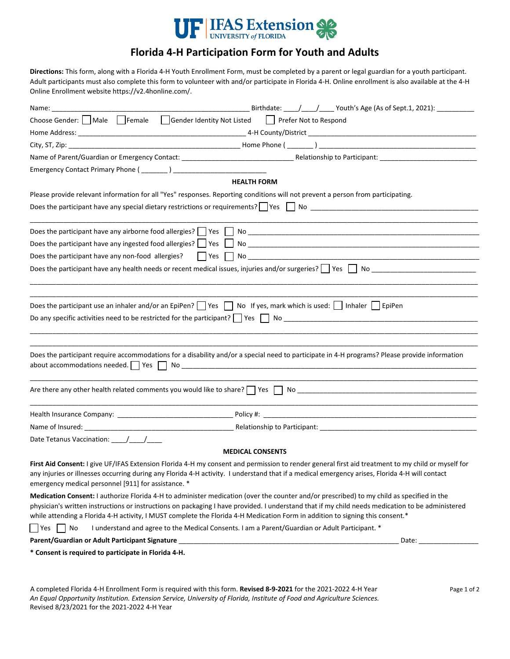

## **Florida 4-H Participation Form for Youth and Adults**

**Directions:** This form, along with a Florida 4-H Youth Enrollment Form, must be completed by a parent or legal guardian for a youth participant. Adult participants must also complete this form to volunteer with and/or participate in Florida 4-H. Online enrollment is also available at the 4-H Online Enrollment website https://v2.4honline.com/.

| Name: and the same of the same of the same of the same of the same of the same of the same of the same of the same of the same of the same of the same of the same of the same of the same of the same of the same of the same | ____________________________Birthdate: ______/_______/ Youth's Age (As of Sept.1, 2021): ______________                                                                                                                                                                                                                                                                                                                        |
|--------------------------------------------------------------------------------------------------------------------------------------------------------------------------------------------------------------------------------|--------------------------------------------------------------------------------------------------------------------------------------------------------------------------------------------------------------------------------------------------------------------------------------------------------------------------------------------------------------------------------------------------------------------------------|
|                                                                                                                                                                                                                                | Choose Gender: Male Female Gender Identity Not Listed Prefer Not to Respond                                                                                                                                                                                                                                                                                                                                                    |
|                                                                                                                                                                                                                                |                                                                                                                                                                                                                                                                                                                                                                                                                                |
|                                                                                                                                                                                                                                |                                                                                                                                                                                                                                                                                                                                                                                                                                |
|                                                                                                                                                                                                                                |                                                                                                                                                                                                                                                                                                                                                                                                                                |
|                                                                                                                                                                                                                                |                                                                                                                                                                                                                                                                                                                                                                                                                                |
|                                                                                                                                                                                                                                | <b>HEALTH FORM</b>                                                                                                                                                                                                                                                                                                                                                                                                             |
|                                                                                                                                                                                                                                | Please provide relevant information for all "Yes" responses. Reporting conditions will not prevent a person from participating.                                                                                                                                                                                                                                                                                                |
|                                                                                                                                                                                                                                |                                                                                                                                                                                                                                                                                                                                                                                                                                |
|                                                                                                                                                                                                                                |                                                                                                                                                                                                                                                                                                                                                                                                                                |
|                                                                                                                                                                                                                                |                                                                                                                                                                                                                                                                                                                                                                                                                                |
|                                                                                                                                                                                                                                |                                                                                                                                                                                                                                                                                                                                                                                                                                |
|                                                                                                                                                                                                                                |                                                                                                                                                                                                                                                                                                                                                                                                                                |
|                                                                                                                                                                                                                                | Does the participant use an inhaler and/or an EpiPen? $\Box$ Yes $\Box$ No If yes, mark which is used: $\Box$ Inhaler $\Box$ EpiPen                                                                                                                                                                                                                                                                                            |
|                                                                                                                                                                                                                                | Does the participant require accommodations for a disability and/or a special need to participate in 4-H programs? Please provide information                                                                                                                                                                                                                                                                                  |
|                                                                                                                                                                                                                                |                                                                                                                                                                                                                                                                                                                                                                                                                                |
|                                                                                                                                                                                                                                |                                                                                                                                                                                                                                                                                                                                                                                                                                |
|                                                                                                                                                                                                                                |                                                                                                                                                                                                                                                                                                                                                                                                                                |
|                                                                                                                                                                                                                                |                                                                                                                                                                                                                                                                                                                                                                                                                                |
|                                                                                                                                                                                                                                | <b>MEDICAL CONSENTS</b>                                                                                                                                                                                                                                                                                                                                                                                                        |
| emergency medical personnel [911] for assistance. *                                                                                                                                                                            | First Aid Consent: I give UF/IFAS Extension Florida 4-H my consent and permission to render general first aid treatment to my child or myself for<br>any injuries or illnesses occurring during any Florida 4-H activity. I understand that if a medical emergency arises, Florida 4-H will contact                                                                                                                            |
|                                                                                                                                                                                                                                | Medication Consent: I authorize Florida 4-H to administer medication (over the counter and/or prescribed) to my child as specified in the<br>physician's written instructions or instructions on packaging I have provided. I understand that if my child needs medication to be administered<br>while attending a Florida 4-H activity, I MUST complete the Florida 4-H Medication Form in addition to signing this consent.* |
| <sup>N</sup> es<br>No                                                                                                                                                                                                          | I understand and agree to the Medical Consents. I am a Parent/Guardian or Adult Participant. *                                                                                                                                                                                                                                                                                                                                 |
|                                                                                                                                                                                                                                | Date: the contract of the contract of the contract of the contract of the contract of the contract of the contract of the contract of the contract of the contract of the contract of the contract of the contract of the cont                                                                                                                                                                                                 |
| * Consent is required to participate in Florida 4-H.                                                                                                                                                                           |                                                                                                                                                                                                                                                                                                                                                                                                                                |